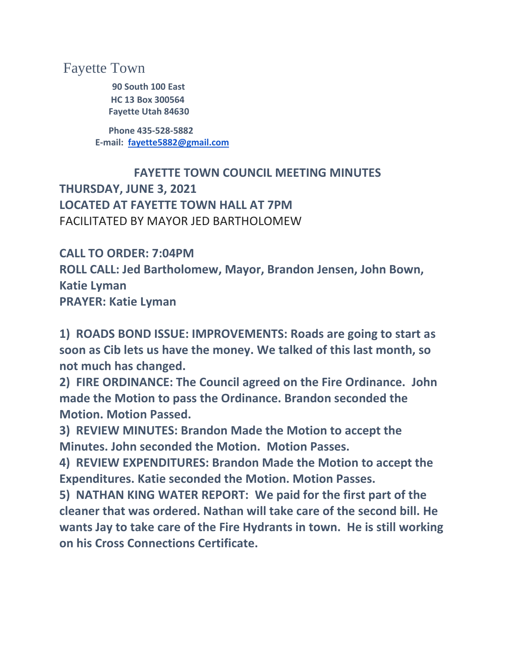## Fayette Town

 **90 South 100 East HC 13 Box 300564 Fayette Utah 84630**

 **Phone 435-528-5882 E-mail: [fayette5882@gmail.com](mailto:fayette5882@gmail.com)**

 **FAYETTE TOWN COUNCIL MEETING MINUTES THURSDAY, JUNE 3, 2021 LOCATED AT FAYETTE TOWN HALL AT 7PM** FACILITATED BY MAYOR JED BARTHOLOMEW

**CALL TO ORDER: 7:04PM ROLL CALL: Jed Bartholomew, Mayor, Brandon Jensen, John Bown, Katie Lyman PRAYER: Katie Lyman**

**1) ROADS BOND ISSUE: IMPROVEMENTS: Roads are going to start as soon as Cib lets us have the money. We talked of this last month, so not much has changed.**

**2) FIRE ORDINANCE: The Council agreed on the Fire Ordinance. John made the Motion to pass the Ordinance. Brandon seconded the Motion. Motion Passed.**

**3) REVIEW MINUTES: Brandon Made the Motion to accept the Minutes. John seconded the Motion. Motion Passes.**

**4) REVIEW EXPENDITURES: Brandon Made the Motion to accept the Expenditures. Katie seconded the Motion. Motion Passes.**

**5) NATHAN KING WATER REPORT: We paid for the first part of the cleaner that was ordered. Nathan will take care of the second bill. He wants Jay to take care of the Fire Hydrants in town. He is still working on his Cross Connections Certificate.**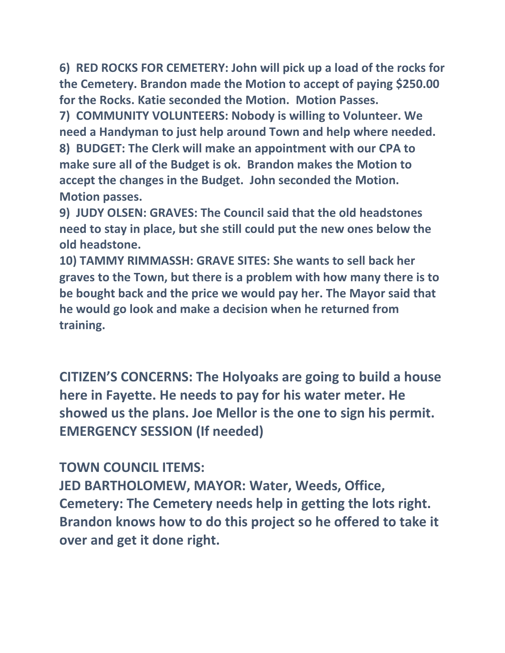**6) RED ROCKS FOR CEMETERY: John will pick up a load of the rocks for the Cemetery. Brandon made the Motion to accept of paying \$250.00 for the Rocks. Katie seconded the Motion. Motion Passes.**

**7) COMMUNITY VOLUNTEERS: Nobody is willing to Volunteer. We need a Handyman to just help around Town and help where needed. 8) BUDGET: The Clerk will make an appointment with our CPA to make sure all of the Budget is ok. Brandon makes the Motion to accept the changes in the Budget. John seconded the Motion. Motion passes.**

**9) JUDY OLSEN: GRAVES: The Council said that the old headstones need to stay in place, but she still could put the new ones below the old headstone.**

**10) TAMMY RIMMASSH: GRAVE SITES: She wants to sell back her graves to the Town, but there is a problem with how many there is to be bought back and the price we would pay her. The Mayor said that he would go look and make a decision when he returned from training.**

**CITIZEN'S CONCERNS: The Holyoaks are going to build a house here in Fayette. He needs to pay for his water meter. He showed us the plans. Joe Mellor is the one to sign his permit. EMERGENCY SESSION (If needed)**

**TOWN COUNCIL ITEMS:**

**JED BARTHOLOMEW, MAYOR: Water, Weeds, Office, Cemetery: The Cemetery needs help in getting the lots right. Brandon knows how to do this project so he offered to take it over and get it done right.**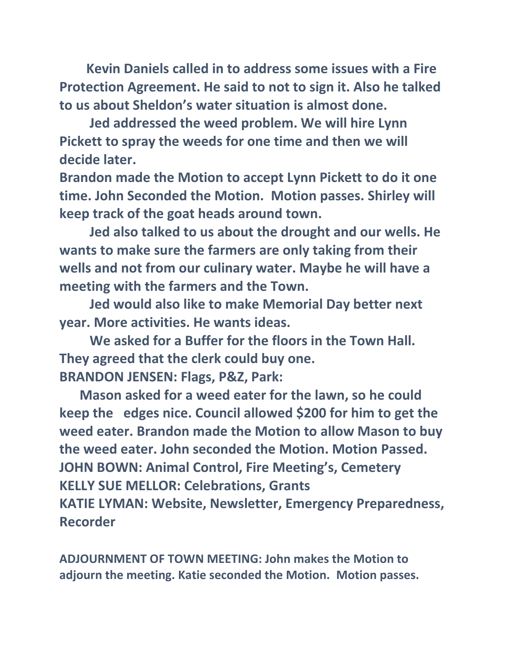**Kevin Daniels called in to address some issues with a Fire Protection Agreement. He said to not to sign it. Also he talked to us about Sheldon's water situation is almost done.**

 **Jed addressed the weed problem. We will hire Lynn Pickett to spray the weeds for one time and then we will decide later.**

**Brandon made the Motion to accept Lynn Pickett to do it one time. John Seconded the Motion. Motion passes. Shirley will keep track of the goat heads around town.**

 **Jed also talked to us about the drought and our wells. He wants to make sure the farmers are only taking from their wells and not from our culinary water. Maybe he will have a meeting with the farmers and the Town.**

 **Jed would also like to make Memorial Day better next year. More activities. He wants ideas.**

 **We asked for a Buffer for the floors in the Town Hall. They agreed that the clerk could buy one. BRANDON JENSEN: Flags, P&Z, Park:**

 **Mason asked for a weed eater for the lawn, so he could keep the edges nice. Council allowed \$200 for him to get the weed eater. Brandon made the Motion to allow Mason to buy the weed eater. John seconded the Motion. Motion Passed. JOHN BOWN: Animal Control, Fire Meeting's, Cemetery KELLY SUE MELLOR: Celebrations, Grants KATIE LYMAN: Website, Newsletter, Emergency Preparedness, Recorder**

**ADJOURNMENT OF TOWN MEETING: John makes the Motion to adjourn the meeting. Katie seconded the Motion. Motion passes.**